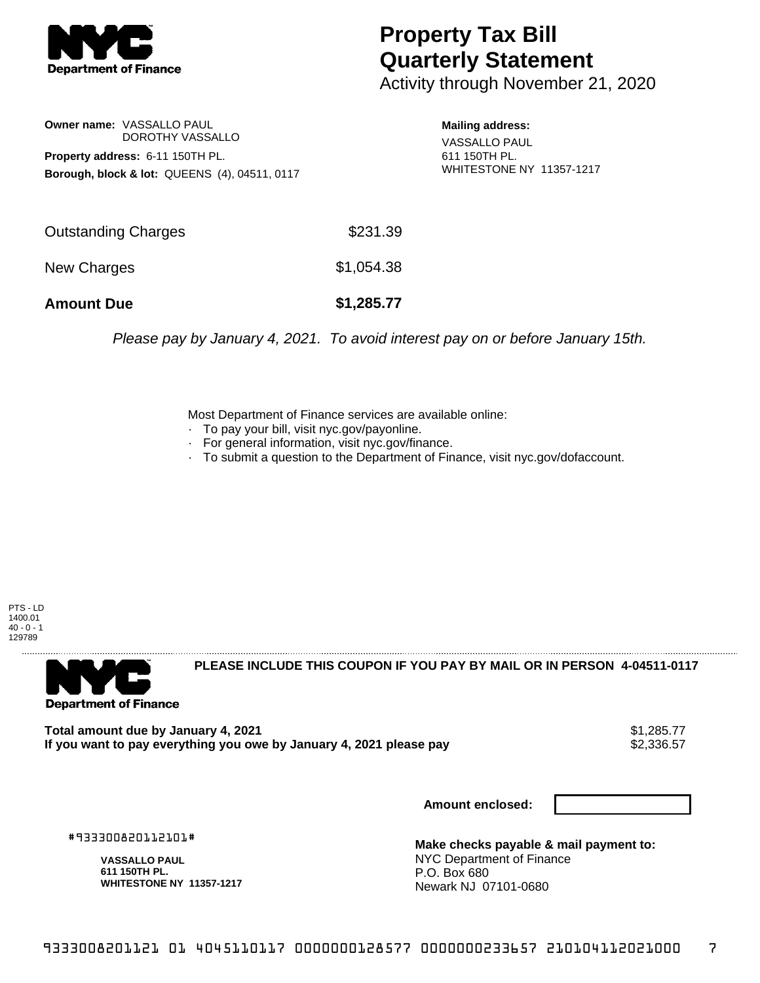

## **Property Tax Bill Quarterly Statement**

Activity through November 21, 2020

**Owner name:** VASSALLO PAUL DOROTHY VASSALLO **Property address:** 6-11 150TH PL. **Borough, block & lot:** QUEENS (4), 04511, 0117

**Mailing address:** VASSALLO PAUL 611 150TH PL. WHITESTONE NY 11357-1217

| <b>Amount Due</b>   | \$1,285.77 |
|---------------------|------------|
| New Charges         | \$1,054.38 |
| Outstanding Charges | \$231.39   |

Please pay by January 4, 2021. To avoid interest pay on or before January 15th.

Most Department of Finance services are available online:

- · To pay your bill, visit nyc.gov/payonline.
- For general information, visit nyc.gov/finance.
- · To submit a question to the Department of Finance, visit nyc.gov/dofaccount.

PTS - LD 1400.01  $40 - 0 - 1$ 129789



**PLEASE INCLUDE THIS COUPON IF YOU PAY BY MAIL OR IN PERSON 4-04511-0117** 

**Total amount due by January 4, 2021**<br>If you want to pay everything you owe by January 4, 2021 please pay **show that the set of the set of the s**2,336.57 If you want to pay everything you owe by January 4, 2021 please pay

**Amount enclosed:**

#933300820112101#

**VASSALLO PAUL 611 150TH PL. WHITESTONE NY 11357-1217**

**Make checks payable & mail payment to:** NYC Department of Finance P.O. Box 680 Newark NJ 07101-0680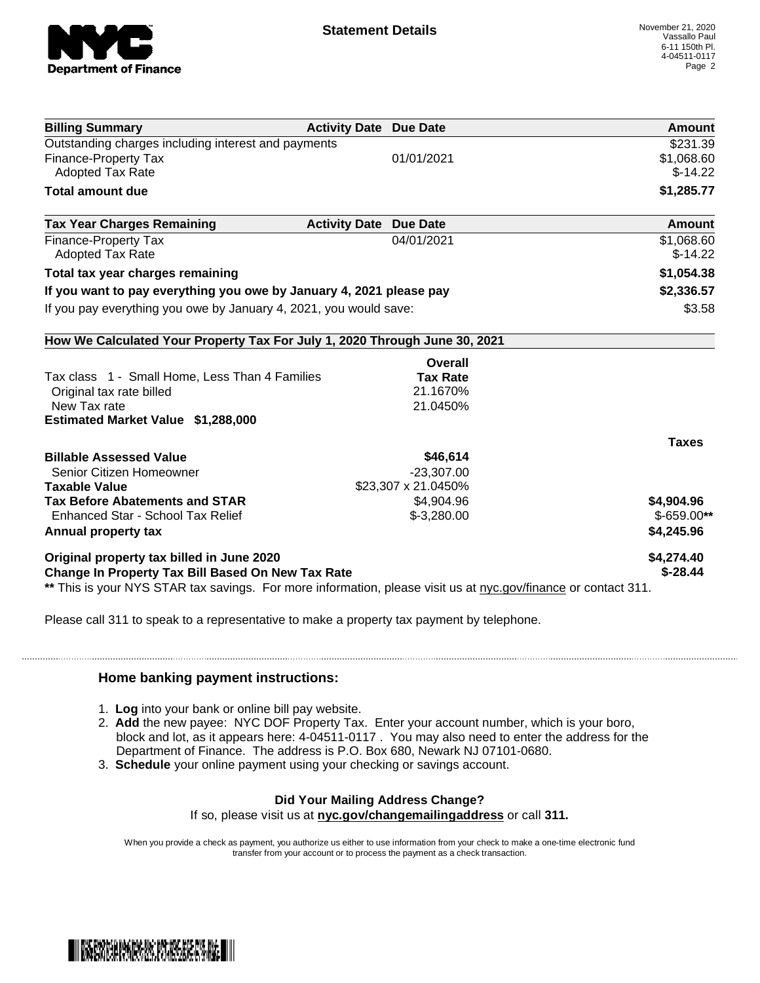

| <b>Billing Summary</b>                                                                                         | <b>Activity Date Due Date</b> | <b>Amount</b>           |
|----------------------------------------------------------------------------------------------------------------|-------------------------------|-------------------------|
| Outstanding charges including interest and payments                                                            |                               | \$231.39                |
| <b>Finance-Property Tax</b>                                                                                    | 01/01/2021                    | \$1,068.60              |
| <b>Adopted Tax Rate</b>                                                                                        |                               | $$-14.22$               |
| <b>Total amount due</b>                                                                                        |                               | \$1,285.77              |
| <b>Tax Year Charges Remaining</b>                                                                              | <b>Activity Date Due Date</b> | Amount                  |
| <b>Finance-Property Tax</b><br><b>Adopted Tax Rate</b>                                                         | 04/01/2021                    | \$1,068.60<br>$$-14.22$ |
|                                                                                                                |                               |                         |
| Total tax year charges remaining                                                                               |                               | \$1,054.38              |
| If you want to pay everything you owe by January 4, 2021 please pay                                            |                               | \$2,336.57              |
| If you pay everything you owe by January 4, 2021, you would save:                                              |                               | \$3.58                  |
| How We Calculated Your Property Tax For July 1, 2020 Through June 30, 2021                                     |                               |                         |
|                                                                                                                | Overall                       |                         |
| Tax class 1 - Small Home, Less Than 4 Families                                                                 | <b>Tax Rate</b>               |                         |
| Original tax rate billed                                                                                       | 21.1670%                      |                         |
| New Tax rate                                                                                                   | 21.0450%                      |                         |
| <b>Estimated Market Value \$1,288,000</b>                                                                      |                               |                         |
|                                                                                                                |                               | <b>Taxes</b>            |
| <b>Billable Assessed Value</b>                                                                                 | \$46,614                      |                         |
| Senior Citizen Homeowner                                                                                       | $-23,307.00$                  |                         |
| <b>Taxable Value</b>                                                                                           | \$23,307 x 21.0450%           |                         |
| <b>Tax Before Abatements and STAR</b>                                                                          | \$4,904.96                    | \$4,904.96              |
| Enhanced Star - School Tax Relief                                                                              | $$-3,280.00$                  | $$-659.00**$            |
| Annual property tax                                                                                            |                               | \$4,245.96              |
| Original property tax billed in June 2020                                                                      |                               | \$4,274.40              |
| Change In Property Tax Bill Based On New Tax Rate                                                              |                               | $$ -28.44$              |
| ** This is your NYS STAR tax savings. For more information, please visit us at nyc.gov/finance or contact 311. |                               |                         |

Please call 311 to speak to a representative to make a property tax payment by telephone.

## **Home banking payment instructions:**

- 1. **Log** into your bank or online bill pay website.
- 2. **Add** the new payee: NYC DOF Property Tax. Enter your account number, which is your boro, block and lot, as it appears here: 4-04511-0117 . You may also need to enter the address for the Department of Finance. The address is P.O. Box 680, Newark NJ 07101-0680.
- 3. **Schedule** your online payment using your checking or savings account.

## **Did Your Mailing Address Change?**

If so, please visit us at **nyc.gov/changemailingaddress** or call **311.**

When you provide a check as payment, you authorize us either to use information from your check to make a one-time electronic fund transfer from your account or to process the payment as a check transaction.